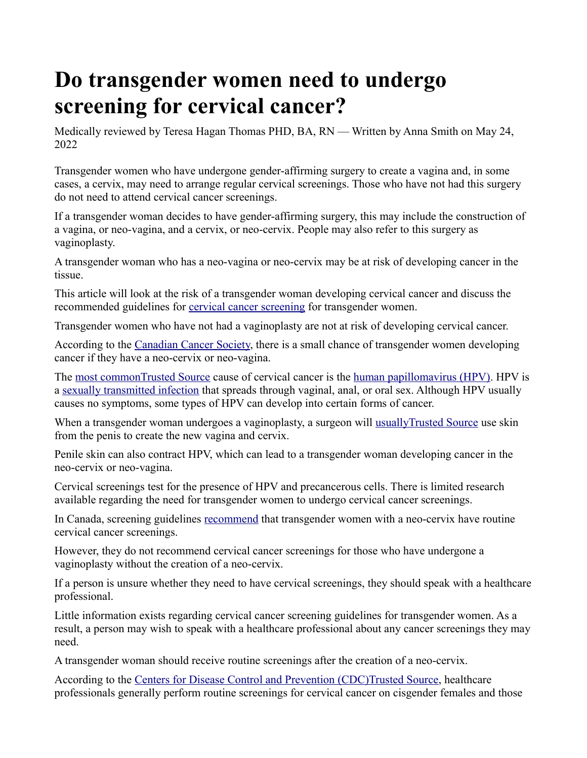# **Do transgender women need to undergo screening for cervical cancer?**

Medically reviewed by Teresa Hagan Thomas PHD, BA, RN — Written by Anna Smith on May 24, 2022

Transgender women who have undergone gender-affirming surgery to create a vagina and, in some cases, a cervix, may need to arrange regular cervical screenings. Those who have not had this surgery do not need to attend cervical cancer screenings.

If a transgender woman decides to have gender-affirming surgery, this may include the construction of a vagina, or neo-vagina, and a cervix, or neo-cervix. People may also refer to this surgery as vaginoplasty.

A transgender woman who has a neo-vagina or neo-cervix may be at risk of developing cancer in the tissue.

This article will look at the risk of a transgender woman developing cervical cancer and discuss the recommended guidelines for [cervical cancer screening](https://www.medicalnewstoday.com/articles/254577) for transgender women.

Transgender women who have not had a vaginoplasty are not at risk of developing cervical cancer.

According to the [Canadian Cancer Society,](https://cancer.ca/en/cancer-information/find-cancer-early/screening-in-lgbtq-communities/as-a-trans-woman-do-i-need-to-get-screened-for-cervical-cancer) there is a small chance of transgender women developing cancer if they have a neo-cervix or neo-vagina.

The [most commonTrusted Source](https://www.cdc.gov/cancer/cervical/basic_info/risk_factors.htm) cause of cervical cancer is the [human papillomavirus \(HPV\).](https://www.medicalnewstoday.com/articles/246670) HPV is a [sexually transmitted infection](https://www.medicalnewstoday.com/articles/246491) that spreads through vaginal, anal, or oral sex. Although HPV usually causes no symptoms, some types of HPV can develop into certain forms of cancer.

When a transgender woman undergoes a vaginoplasty, a surgeon will usually Trusted Source use skin from the penis to create the new vagina and cervix.

Penile skin can also contract HPV, which can lead to a transgender woman developing cancer in the neo-cervix or neo-vagina.

Cervical screenings test for the presence of HPV and precancerous cells. There is limited research available regarding the need for transgender women to undergo cervical cancer screenings.

In Canada, screening guidelines [recommend](https://www.cancercare.mb.ca/screening/trans) that transgender women with a neo-cervix have routine cervical cancer screenings.

However, they do not recommend cervical cancer screenings for those who have undergone a vaginoplasty without the creation of a neo-cervix.

If a person is unsure whether they need to have cervical screenings, they should speak with a healthcare professional.

Little information exists regarding cervical cancer screening guidelines for transgender women. As a result, a person may wish to speak with a healthcare professional about any cancer screenings they may need.

A transgender woman should receive routine screenings after the creation of a neo-cervix.

According to the [Centers for Disease Control and Prevention \(CDC\)Trusted Source,](https://www.cdc.gov/cancer/cervical/basic_info/screening.htm) healthcare professionals generally perform routine screenings for cervical cancer on cisgender females and those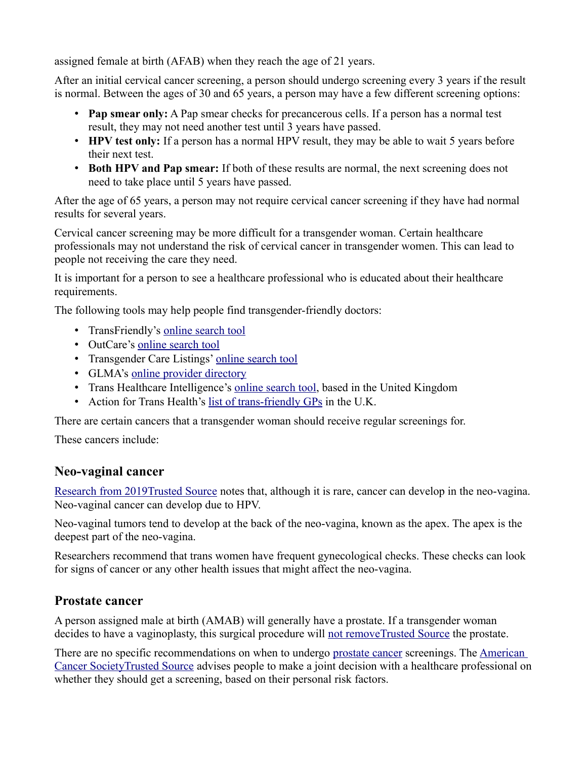assigned female at birth (AFAB) when they reach the age of 21 years.

After an initial cervical cancer screening, a person should undergo screening every 3 years if the result is normal. Between the ages of 30 and 65 years, a person may have a few different screening options:

- **Pap smear only:** A Pap smear checks for precancerous cells. If a person has a normal test result, they may not need another test until 3 years have passed.
- **HPV test only:** If a person has a normal HPV result, they may be able to wait 5 years before their next test.
- **Both HPV and Pap smear:** If both of these results are normal, the next screening does not need to take place until 5 years have passed.

After the age of 65 years, a person may not require cervical cancer screening if they have had normal results for several years.

Cervical cancer screening may be more difficult for a transgender woman. Certain healthcare professionals may not understand the risk of cervical cancer in transgender women. This can lead to people not receiving the care they need.

It is important for a person to see a healthcare professional who is educated about their healthcare requirements.

The following tools may help people find transgender-friendly doctors:

- TransFriendly's [online search tool](https://transfriend.ly/transgender-friendly/doctors/)
- OutCare's [online search tool](https://www.outcarehealth.org/outlist/)
- Transgender Care Listings' [online search tool](http://transcaresite.org/)
- GLMA's [online provider directory](https://glmaimpak.networkats.com/members_online_new/members/dir_provider.asp)
- Trans Healthcare Intelligence's [online search tool,](https://www.transhealthcareintel.com/trans-friendly-gps) based in the United Kingdom
- Action for Trans Health's [list of trans-friendly GPs](https://actionfortranshealth.org.uk/resources/for-trans-people/list-of-trans-friendly-gps/) in the U.K.

There are certain cancers that a transgender woman should receive regular screenings for.

These cancers include:

#### **Neo-vaginal cancer**

[Research from 2019Trusted Source](https://www.ncbi.nlm.nih.gov/pmc/articles/PMC6354136/) notes that, although it is rare, cancer can develop in the neo-vagina. Neo-vaginal cancer can develop due to HPV.

Neo-vaginal tumors tend to develop at the back of the neo-vagina, known as the apex. The apex is the deepest part of the neo-vagina.

Researchers recommend that trans women have frequent gynecological checks. These checks can look for signs of cancer or any other health issues that might affect the neo-vagina.

#### **Prostate cancer**

A person assigned male at birth (AMAB) will generally have a prostate. If a transgender woman decides to have a vaginoplasty, this surgical procedure will [not removeTrusted Source](https://www.ncbi.nlm.nih.gov/pmc/articles/PMC5868281/) the prostate.

There are no specific recommendations on when to undergo [prostate cancer](https://www.medicalnewstoday.com/articles/150086) screenings. The American [Cancer SocietyTrusted Source](https://www.cancer.org/cancer/prostate-cancer/detection-diagnosis-staging/acs-recommendations.html) advises people to make a joint decision with a healthcare professional on whether they should get a screening, based on their personal risk factors.